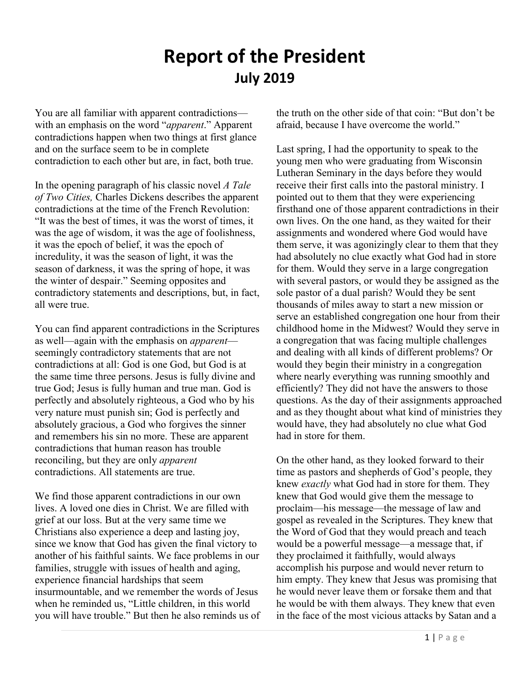## **Report of the President July 2019**

You are all familiar with apparent contradictions with an emphasis on the word "*apparent*." Apparent contradictions happen when two things at first glance and on the surface seem to be in complete contradiction to each other but are, in fact, both true.

In the opening paragraph of his classic novel *A Tale of Two Cities,* Charles Dickens describes the apparent contradictions at the time of the French Revolution: "It was the best of times, it was the worst of times, it was the age of wisdom, it was the age of foolishness, it was the epoch of belief, it was the epoch of incredulity, it was the season of light, it was the season of darkness, it was the spring of hope, it was the winter of despair." Seeming opposites and contradictory statements and descriptions, but, in fact, all were true.

You can find apparent contradictions in the Scriptures as well—again with the emphasis on *apparent* seemingly contradictory statements that are not contradictions at all: God is one God, but God is at the same time three persons. Jesus is fully divine and true God; Jesus is fully human and true man. God is perfectly and absolutely righteous, a God who by his very nature must punish sin; God is perfectly and absolutely gracious, a God who forgives the sinner and remembers his sin no more. These are apparent contradictions that human reason has trouble reconciling, but they are only *apparent* contradictions. All statements are true.

We find those apparent contradictions in our own lives. A loved one dies in Christ. We are filled with grief at our loss. But at the very same time we Christians also experience a deep and lasting joy, since we know that God has given the final victory to another of his faithful saints. We face problems in our families, struggle with issues of health and aging, experience financial hardships that seem insurmountable, and we remember the words of Jesus when he reminded us, "Little children, in this world you will have trouble." But then he also reminds us of the truth on the other side of that coin: "But don't be afraid, because I have overcome the world."

Last spring, I had the opportunity to speak to the young men who were graduating from Wisconsin Lutheran Seminary in the days before they would receive their first calls into the pastoral ministry. I pointed out to them that they were experiencing firsthand one of those apparent contradictions in their own lives. On the one hand, as they waited for their assignments and wondered where God would have them serve, it was agonizingly clear to them that they had absolutely no clue exactly what God had in store for them. Would they serve in a large congregation with several pastors, or would they be assigned as the sole pastor of a dual parish? Would they be sent thousands of miles away to start a new mission or serve an established congregation one hour from their childhood home in the Midwest? Would they serve in a congregation that was facing multiple challenges and dealing with all kinds of different problems? Or would they begin their ministry in a congregation where nearly everything was running smoothly and efficiently? They did not have the answers to those questions. As the day of their assignments approached and as they thought about what kind of ministries they would have, they had absolutely no clue what God had in store for them.

On the other hand, as they looked forward to their time as pastors and shepherds of God's people, they knew *exactly* what God had in store for them. They knew that God would give them the message to proclaim—his message—the message of law and gospel as revealed in the Scriptures. They knew that the Word of God that they would preach and teach would be a powerful message—a message that, if they proclaimed it faithfully, would always accomplish his purpose and would never return to him empty. They knew that Jesus was promising that he would never leave them or forsake them and that he would be with them always. They knew that even in the face of the most vicious attacks by Satan and a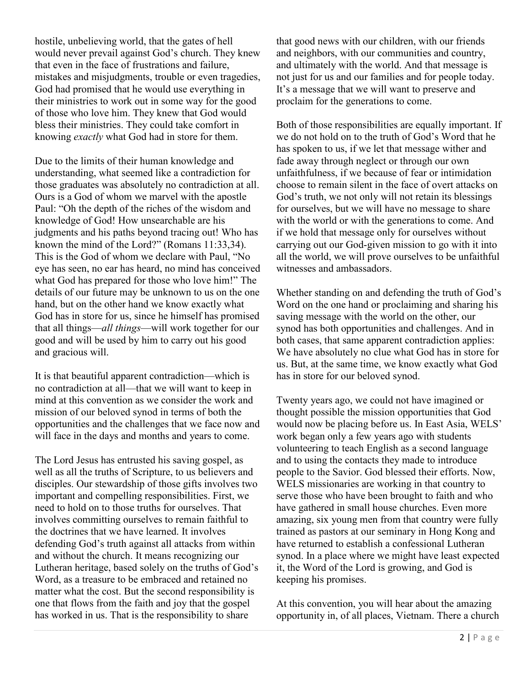hostile, unbelieving world, that the gates of hell would never prevail against God's church. They knew that even in the face of frustrations and failure, mistakes and misjudgments, trouble or even tragedies, God had promised that he would use everything in their ministries to work out in some way for the good of those who love him. They knew that God would bless their ministries. They could take comfort in knowing *exactly* what God had in store for them.

Due to the limits of their human knowledge and understanding, what seemed like a contradiction for those graduates was absolutely no contradiction at all. Ours is a God of whom we marvel with the apostle Paul: "Oh the depth of the riches of the wisdom and knowledge of God! How unsearchable are his judgments and his paths beyond tracing out! Who has known the mind of the Lord?" (Romans 11:33,34). This is the God of whom we declare with Paul, "No eye has seen, no ear has heard, no mind has conceived what God has prepared for those who love him!" The details of our future may be unknown to us on the one hand, but on the other hand we know exactly what God has in store for us, since he himself has promised that all things—*all things*—will work together for our good and will be used by him to carry out his good and gracious will.

It is that beautiful apparent contradiction—which is no contradiction at all—that we will want to keep in mind at this convention as we consider the work and mission of our beloved synod in terms of both the opportunities and the challenges that we face now and will face in the days and months and years to come.

The Lord Jesus has entrusted his saving gospel, as well as all the truths of Scripture, to us believers and disciples. Our stewardship of those gifts involves two important and compelling responsibilities. First, we need to hold on to those truths for ourselves. That involves committing ourselves to remain faithful to the doctrines that we have learned. It involves defending God's truth against all attacks from within and without the church. It means recognizing our Lutheran heritage, based solely on the truths of God's Word, as a treasure to be embraced and retained no matter what the cost. But the second responsibility is one that flows from the faith and joy that the gospel has worked in us. That is the responsibility to share

that good news with our children, with our friends and neighbors, with our communities and country, and ultimately with the world. And that message is not just for us and our families and for people today. It's a message that we will want to preserve and proclaim for the generations to come.

Both of those responsibilities are equally important. If we do not hold on to the truth of God's Word that he has spoken to us, if we let that message wither and fade away through neglect or through our own unfaithfulness, if we because of fear or intimidation choose to remain silent in the face of overt attacks on God's truth, we not only will not retain its blessings for ourselves, but we will have no message to share with the world or with the generations to come. And if we hold that message only for ourselves without carrying out our God-given mission to go with it into all the world, we will prove ourselves to be unfaithful witnesses and ambassadors.

Whether standing on and defending the truth of God's Word on the one hand or proclaiming and sharing his saving message with the world on the other, our synod has both opportunities and challenges. And in both cases, that same apparent contradiction applies: We have absolutely no clue what God has in store for us. But, at the same time, we know exactly what God has in store for our beloved synod.

Twenty years ago, we could not have imagined or thought possible the mission opportunities that God would now be placing before us. In East Asia, WELS' work began only a few years ago with students volunteering to teach English as a second language and to using the contacts they made to introduce people to the Savior. God blessed their efforts. Now, WELS missionaries are working in that country to serve those who have been brought to faith and who have gathered in small house churches. Even more amazing, six young men from that country were fully trained as pastors at our seminary in Hong Kong and have returned to establish a confessional Lutheran synod. In a place where we might have least expected it, the Word of the Lord is growing, and God is keeping his promises.

At this convention, you will hear about the amazing opportunity in, of all places, Vietnam. There a church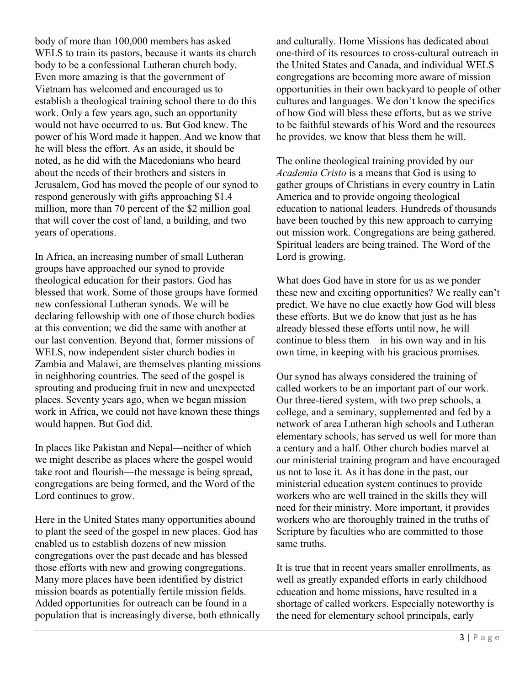body of more than 100,000 members has asked WELS to train its pastors, because it wants its church body to be a confessional Lutheran church body. Even more amazing is that the government of Vietnam has welcomed and encouraged us to establish a theological training school there to do this work. Only a few years ago, such an opportunity would not have occurred to us. But God knew. The power of his Word made it happen. And we know that he will bless the effort. As an aside, it should be noted, as he did with the Macedonians who heard about the needs of their brothers and sisters in Jerusalem, God has moved the people of our synod to respond generously with gifts approaching \$1.4 million, more than 70 percent of the \$2 million goal that will cover the cost of land, a building, and two years of operations.

In Africa, an increasing number of small Lutheran groups have approached our synod to provide theological education for their pastors. God has blessed that work. Some of those groups have formed new confessional Lutheran synods. We will be declaring fellowship with one of those church bodies at this convention; we did the same with another at our last convention. Beyond that, former missions of WELS, now independent sister church bodies in Zambia and Malawi, are themselves planting missions in neighboring countries. The seed of the gospel is sprouting and producing fruit in new and unexpected places. Seventy years ago, when we began mission work in Africa, we could not have known these things would happen. But God did.

In places like Pakistan and Nepal—neither of which we might describe as places where the gospel would take root and flourish—the message is being spread, congregations are being formed, and the Word of the Lord continues to grow.

Here in the United States many opportunities abound to plant the seed of the gospel in new places. God has enabled us to establish dozens of new mission congregations over the past decade and has blessed those efforts with new and growing congregations. Many more places have been identified by district mission boards as potentially fertile mission fields. Added opportunities for outreach can be found in a population that is increasingly diverse, both ethnically and culturally. Home Missions has dedicated about one-third of its resources to cross-cultural outreach in the United States and Canada, and individual WELS congregations are becoming more aware of mission opportunities in their own backyard to people of other cultures and languages. We don't know the specifics of how God will bless these efforts, but as we strive to be faithful stewards of his Word and the resources he provides, we know that bless them he will.

The online theological training provided by our *Academia Cristo* is a means that God is using to gather groups of Christians in every country in Latin America and to provide ongoing theological education to national leaders. Hundreds of thousands have been touched by this new approach to carrying out mission work. Congregations are being gathered. Spiritual leaders are being trained. The Word of the Lord is growing.

What does God have in store for us as we ponder these new and exciting opportunities? We really can't predict. We have no clue exactly how God will bless these efforts. But we do know that just as he has already blessed these efforts until now, he will continue to bless them—in his own way and in his own time, in keeping with his gracious promises.

Our synod has always considered the training of called workers to be an important part of our work. Our three-tiered system, with two prep schools, a college, and a seminary, supplemented and fed by a network of area Lutheran high schools and Lutheran elementary schools, has served us well for more than a century and a half. Other church bodies marvel at our ministerial training program and have encouraged us not to lose it. As it has done in the past, our ministerial education system continues to provide workers who are well trained in the skills they will need for their ministry. More important, it provides workers who are thoroughly trained in the truths of Scripture by faculties who are committed to those same truths.

It is true that in recent years smaller enrollments, as well as greatly expanded efforts in early childhood education and home missions, have resulted in a shortage of called workers. Especially noteworthy is the need for elementary school principals, early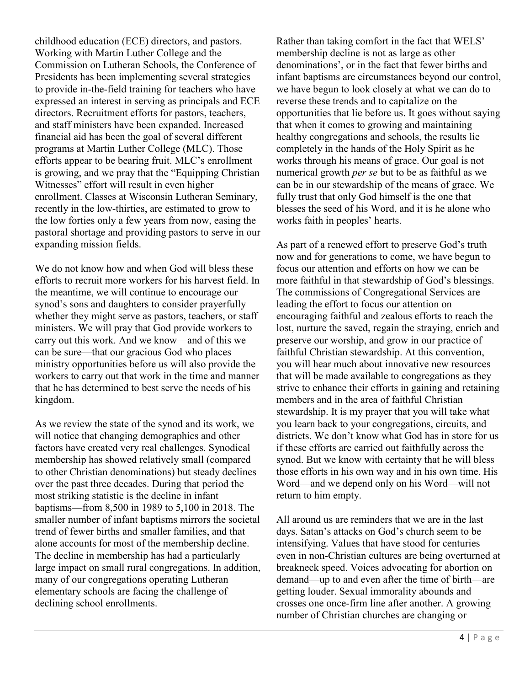childhood education (ECE) directors, and pastors. Working with Martin Luther College and the Commission on Lutheran Schools, the Conference of Presidents has been implementing several strategies to provide in-the-field training for teachers who have expressed an interest in serving as principals and ECE directors. Recruitment efforts for pastors, teachers, and staff ministers have been expanded. Increased financial aid has been the goal of several different programs at Martin Luther College (MLC). Those efforts appear to be bearing fruit. MLC's enrollment is growing, and we pray that the "Equipping Christian Witnesses" effort will result in even higher enrollment. Classes at Wisconsin Lutheran Seminary, recently in the low-thirties, are estimated to grow to the low forties only a few years from now, easing the pastoral shortage and providing pastors to serve in our expanding mission fields.

We do not know how and when God will bless these efforts to recruit more workers for his harvest field. In the meantime, we will continue to encourage our synod's sons and daughters to consider prayerfully whether they might serve as pastors, teachers, or staff ministers. We will pray that God provide workers to carry out this work. And we know—and of this we can be sure—that our gracious God who places ministry opportunities before us will also provide the workers to carry out that work in the time and manner that he has determined to best serve the needs of his kingdom.

As we review the state of the synod and its work, we will notice that changing demographics and other factors have created very real challenges. Synodical membership has showed relatively small (compared to other Christian denominations) but steady declines over the past three decades. During that period the most striking statistic is the decline in infant baptisms—from 8,500 in 1989 to 5,100 in 2018. The smaller number of infant baptisms mirrors the societal trend of fewer births and smaller families, and that alone accounts for most of the membership decline. The decline in membership has had a particularly large impact on small rural congregations. In addition, many of our congregations operating Lutheran elementary schools are facing the challenge of declining school enrollments.

Rather than taking comfort in the fact that WELS' membership decline is not as large as other denominations', or in the fact that fewer births and infant baptisms are circumstances beyond our control, we have begun to look closely at what we can do to reverse these trends and to capitalize on the opportunities that lie before us. It goes without saying that when it comes to growing and maintaining healthy congregations and schools, the results lie completely in the hands of the Holy Spirit as he works through his means of grace. Our goal is not numerical growth *per se* but to be as faithful as we can be in our stewardship of the means of grace. We fully trust that only God himself is the one that blesses the seed of his Word, and it is he alone who works faith in peoples' hearts.

As part of a renewed effort to preserve God's truth now and for generations to come, we have begun to focus our attention and efforts on how we can be more faithful in that stewardship of God's blessings. The commissions of Congregational Services are leading the effort to focus our attention on encouraging faithful and zealous efforts to reach the lost, nurture the saved, regain the straying, enrich and preserve our worship, and grow in our practice of faithful Christian stewardship. At this convention, you will hear much about innovative new resources that will be made available to congregations as they strive to enhance their efforts in gaining and retaining members and in the area of faithful Christian stewardship. It is my prayer that you will take what you learn back to your congregations, circuits, and districts. We don't know what God has in store for us if these efforts are carried out faithfully across the synod. But we know with certainty that he will bless those efforts in his own way and in his own time. His Word—and we depend only on his Word—will not return to him empty.

All around us are reminders that we are in the last days. Satan's attacks on God's church seem to be intensifying. Values that have stood for centuries even in non-Christian cultures are being overturned at breakneck speed. Voices advocating for abortion on demand—up to and even after the time of birth—are getting louder. Sexual immorality abounds and crosses one once-firm line after another. A growing number of Christian churches are changing or